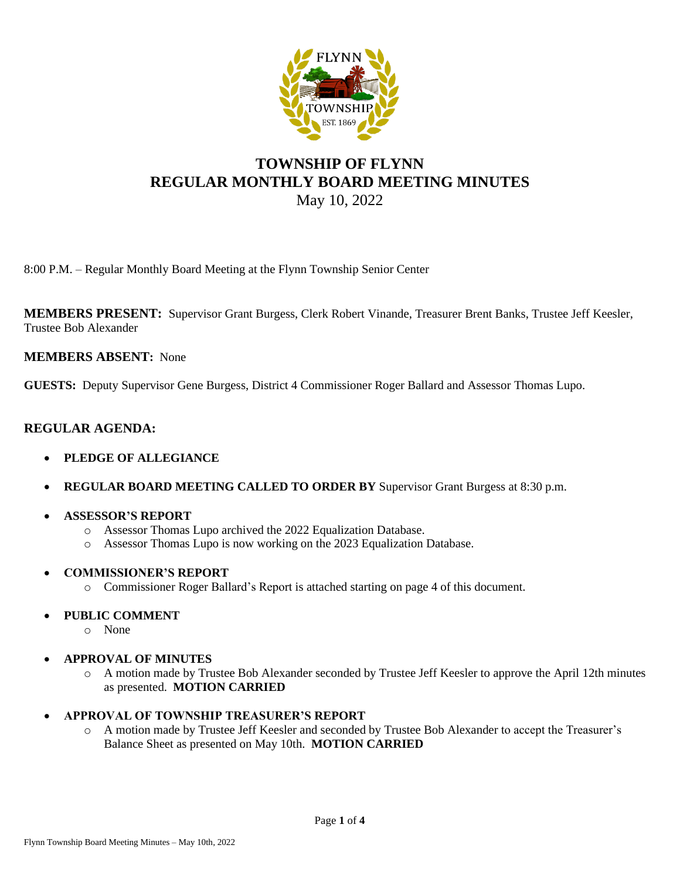

# **TOWNSHIP OF FLYNN REGULAR MONTHLY BOARD MEETING MINUTES** May 10, 2022

8:00 P.M. – Regular Monthly Board Meeting at the Flynn Township Senior Center

**MEMBERS PRESENT:** Supervisor Grant Burgess, Clerk Robert Vinande, Treasurer Brent Banks, Trustee Jeff Keesler, Trustee Bob Alexander

## **MEMBERS ABSENT:** None

**GUESTS:** Deputy Supervisor Gene Burgess, District 4 Commissioner Roger Ballard and Assessor Thomas Lupo.

## **REGULAR AGENDA:**

- **PLEDGE OF ALLEGIANCE**
- **REGULAR BOARD MEETING CALLED TO ORDER BY** Supervisor Grant Burgess at 8:30 p.m.
- **ASSESSOR'S REPORT**
	- o Assessor Thomas Lupo archived the 2022 Equalization Database.
	- o Assessor Thomas Lupo is now working on the 2023 Equalization Database.

#### • **COMMISSIONER'S REPORT**

o Commissioner Roger Ballard's Report is attached starting on page 4 of this document.

## • **PUBLIC COMMENT**

- o None
- **APPROVAL OF MINUTES**
	- o A motion made by Trustee Bob Alexander seconded by Trustee Jeff Keesler to approve the April 12th minutes as presented. **MOTION CARRIED**
- **APPROVAL OF TOWNSHIP TREASURER'S REPORT**
	- o A motion made by Trustee Jeff Keesler and seconded by Trustee Bob Alexander to accept the Treasurer's Balance Sheet as presented on May 10th. **MOTION CARRIED**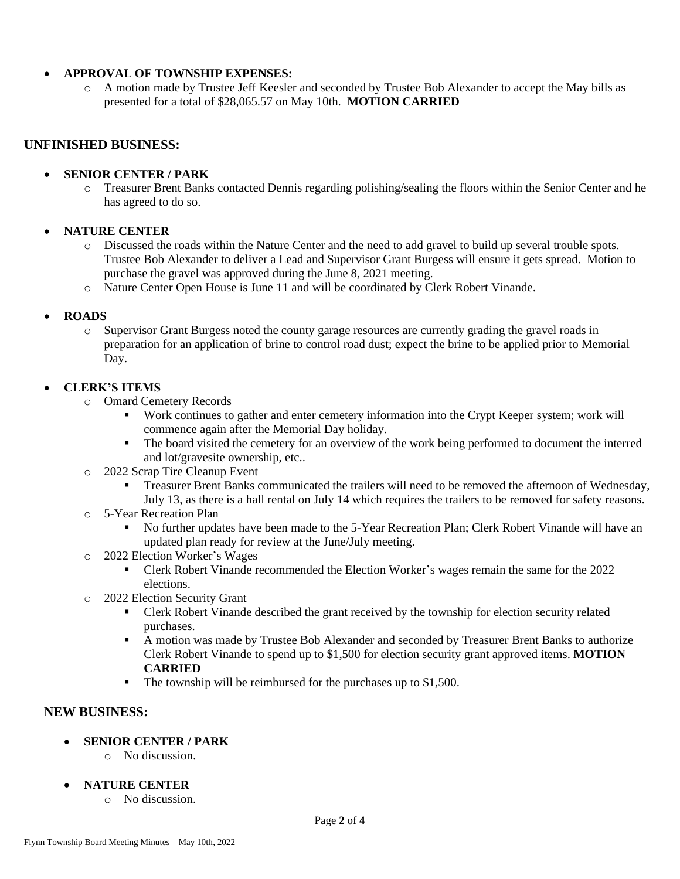### • **APPROVAL OF TOWNSHIP EXPENSES:**

o A motion made by Trustee Jeff Keesler and seconded by Trustee Bob Alexander to accept the May bills as presented for a total of \$28,065.57 on May 10th. **MOTION CARRIED**

## **UNFINISHED BUSINESS:**

### • **SENIOR CENTER / PARK**

o Treasurer Brent Banks contacted Dennis regarding polishing/sealing the floors within the Senior Center and he has agreed to do so.

## • **NATURE CENTER**

- o Discussed the roads within the Nature Center and the need to add gravel to build up several trouble spots. Trustee Bob Alexander to deliver a Lead and Supervisor Grant Burgess will ensure it gets spread. Motion to purchase the gravel was approved during the June 8, 2021 meeting.
- o Nature Center Open House is June 11 and will be coordinated by Clerk Robert Vinande.

### • **ROADS**

o Supervisor Grant Burgess noted the county garage resources are currently grading the gravel roads in preparation for an application of brine to control road dust; expect the brine to be applied prior to Memorial Day.

### • **CLERK'S ITEMS**

- o Omard Cemetery Records
	- Work continues to gather and enter cemetery information into the Crypt Keeper system; work will commence again after the Memorial Day holiday.
	- The board visited the cemetery for an overview of the work being performed to document the interred and lot/gravesite ownership, etc..
- o 2022 Scrap Tire Cleanup Event
	- **•** Treasurer Brent Banks communicated the trailers will need to be removed the afternoon of Wednesday, July 13, as there is a hall rental on July 14 which requires the trailers to be removed for safety reasons.
- o 5-Year Recreation Plan
	- No further updates have been made to the 5-Year Recreation Plan; Clerk Robert Vinande will have an updated plan ready for review at the June/July meeting.
- o 2022 Election Worker's Wages
	- Clerk Robert Vinande recommended the Election Worker's wages remain the same for the 2022 elections.
- o 2022 Election Security Grant
	- **Clerk Robert Vinande described the grant received by the township for election security related** purchases.
	- A motion was made by Trustee Bob Alexander and seconded by Treasurer Brent Banks to authorize Clerk Robert Vinande to spend up to \$1,500 for election security grant approved items. **MOTION CARRIED**
	- The township will be reimbursed for the purchases up to \$1,500.

## **NEW BUSINESS:**

- **SENIOR CENTER / PARK** 
	- o No discussion.
- **NATURE CENTER**
	- o No discussion.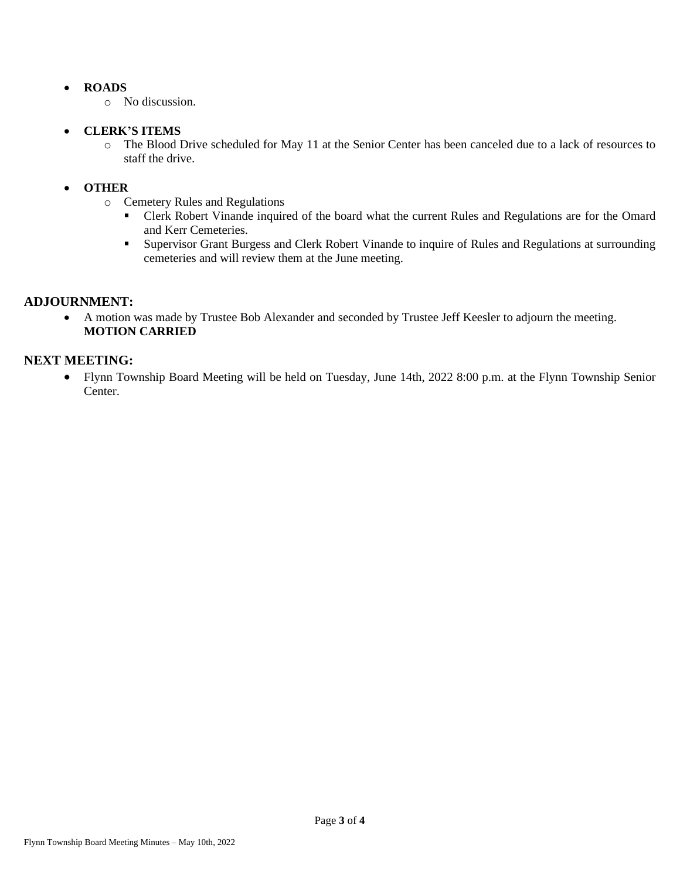## • **ROADS**

o No discussion.

## • **CLERK'S ITEMS**

o The Blood Drive scheduled for May 11 at the Senior Center has been canceled due to a lack of resources to staff the drive.

## • **OTHER**

- o Cemetery Rules and Regulations
	- Clerk Robert Vinande inquired of the board what the current Rules and Regulations are for the Omard and Kerr Cemeteries.
	- Supervisor Grant Burgess and Clerk Robert Vinande to inquire of Rules and Regulations at surrounding cemeteries and will review them at the June meeting.

## **ADJOURNMENT:**

• A motion was made by Trustee Bob Alexander and seconded by Trustee Jeff Keesler to adjourn the meeting. **MOTION CARRIED**

## **NEXT MEETING:**

• Flynn Township Board Meeting will be held on Tuesday, June 14th, 2022 8:00 p.m. at the Flynn Township Senior Center.